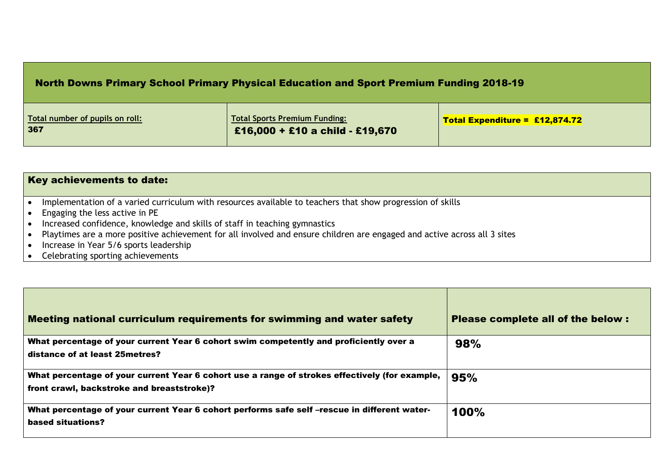## North Downs Primary School Primary Physical Education and Sport Premium Funding 2018-19

| Total number of pupils on roll:<br>367 | <b>Total Sports Premium Funding:</b><br>£16,000 + £10 a child - £19,670 | $\sqrt{100}$ Total Expenditure = £12,874.72 |
|----------------------------------------|-------------------------------------------------------------------------|---------------------------------------------|
|----------------------------------------|-------------------------------------------------------------------------|---------------------------------------------|

| Key achievements to date:                                                                                                |
|--------------------------------------------------------------------------------------------------------------------------|
| Implementation of a varied curriculum with resources available to teachers that show progression of skills               |
| Engaging the less active in PE                                                                                           |
| Increased confidence, knowledge and skills of staff in teaching gymnastics                                               |
| Playtimes are a more positive achievement for all involved and ensure children are engaged and active across all 3 sites |
| Increase in Year 5/6 sports leadership                                                                                   |
| Celebrating sporting achievements                                                                                        |

| Meeting national curriculum requirements for swimming and water safety                                                                       | Please complete all of the below : |
|----------------------------------------------------------------------------------------------------------------------------------------------|------------------------------------|
| What percentage of your current Year 6 cohort swim competently and proficiently over a<br>distance of at least 25 metres?                    | 98%                                |
| What percentage of your current Year 6 cohort use a range of strokes effectively (for example,<br>front crawl, backstroke and breaststroke)? | 95%                                |
| What percentage of your current Year 6 cohort performs safe self-rescue in different water-<br>based situations?                             | 100%                               |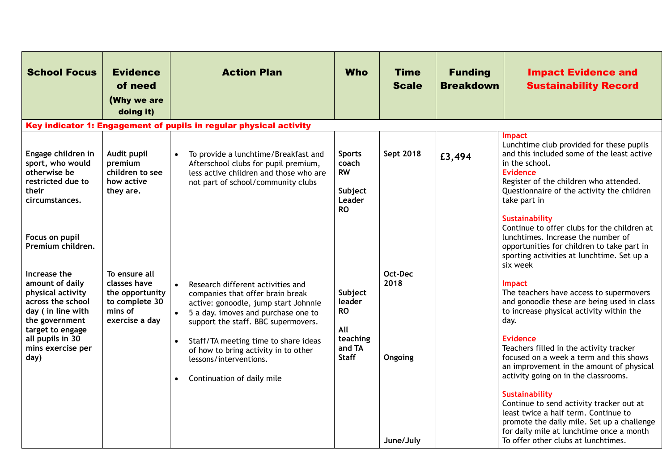| <b>School Focus</b>                                                                                                                                      | <b>Evidence</b><br>of need<br>(Why we are<br>doing it)                                          | <b>Action Plan</b>                                                                                                                                                                                                                                                         | <b>Who</b>                                                            | <b>Time</b><br><b>Scale</b> | <b>Funding</b><br><b>Breakdown</b> | <b>Impact Evidence and</b><br><b>Sustainability Record</b>                                                                                                                                                                                    |
|----------------------------------------------------------------------------------------------------------------------------------------------------------|-------------------------------------------------------------------------------------------------|----------------------------------------------------------------------------------------------------------------------------------------------------------------------------------------------------------------------------------------------------------------------------|-----------------------------------------------------------------------|-----------------------------|------------------------------------|-----------------------------------------------------------------------------------------------------------------------------------------------------------------------------------------------------------------------------------------------|
|                                                                                                                                                          |                                                                                                 | Key indicator 1: Engagement of pupils in regular physical activity                                                                                                                                                                                                         |                                                                       |                             |                                    |                                                                                                                                                                                                                                               |
| Engage children in<br>sport, who would<br>otherwise be<br>restricted due to<br>their<br>circumstances.                                                   | Audit pupil<br>premium<br>children to see<br>how active<br>they are.                            | $\bullet$<br>To provide a lunchtime/Breakfast and<br>Afterschool clubs for pupil premium,<br>less active children and those who are<br>not part of school/community clubs                                                                                                  | <b>Sports</b><br>coach<br><b>RW</b><br>Subject<br>Leader<br><b>RO</b> | Sept 2018                   | £3,494                             | <b>Impact</b><br>Lunchtime club provided for these pupils<br>and this included some of the least active<br>in the school.<br>Evidence<br>Register of the children who attended.<br>Questionnaire of the activity the children<br>take part in |
| Focus on pupil<br>Premium children.                                                                                                                      |                                                                                                 |                                                                                                                                                                                                                                                                            |                                                                       |                             |                                    | <b>Sustainability</b><br>Continue to offer clubs for the children at<br>lunchtimes. Increase the number of<br>opportunities for children to take part in<br>sporting activities at lunchtime. Set up a<br>six week                            |
| Increase the<br>amount of daily<br>physical activity<br>across the school<br>day (in line with<br>the government<br>target to engage<br>all pupils in 30 | To ensure all<br>classes have<br>the opportunity<br>to complete 30<br>mins of<br>exercise a day | Research different activities and<br>$\bullet$<br>companies that offer brain break<br>active: gonoodle, jump start Johnnie<br>5 a day. imoves and purchase one to<br>$\bullet$<br>support the staff. BBC supermovers.<br>Staff/TA meeting time to share ideas<br>$\bullet$ | Subject<br>leader<br><b>RO</b><br>All<br>teaching                     | Oct-Dec<br>2018             |                                    | Impact<br>The teachers have access to supermovers<br>and gonoodle these are being used in class<br>to increase physical activity within the<br>day.<br><b>Evidence</b>                                                                        |
| mins exercise per<br>day)                                                                                                                                |                                                                                                 | of how to bring activity in to other<br>lessons/interventions.<br>Continuation of daily mile<br>$\bullet$                                                                                                                                                                  | and TA<br><b>Staff</b>                                                | Ongoing                     |                                    | Teachers filled in the activity tracker<br>focused on a week a term and this shows<br>an improvement in the amount of physical<br>activity going on in the classrooms.<br><b>Sustainability</b>                                               |
|                                                                                                                                                          |                                                                                                 |                                                                                                                                                                                                                                                                            |                                                                       | June/July                   |                                    | Continue to send activity tracker out at<br>least twice a half term. Continue to<br>promote the daily mile. Set up a challenge<br>for daily mile at lunchtime once a month<br>To offer other clubs at lunchtimes.                             |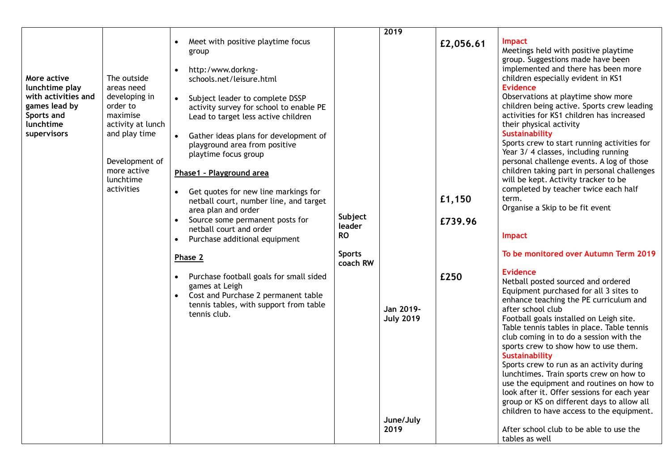| 2019<br>Meet with positive playtime focus<br>$\bullet$<br>£2,056.61<br>group<br>http:/www.dorkng-<br>$\bullet$<br>The outside<br>More active<br>schools.net/leisure.html<br>lunchtime play<br>areas need                                                                                                                                                                                                                                                                                                                                                                                                                                                                                                                                                                                                                                                                                                                                                                                                                                                            |                                                                                                                                                                                                                                                                                                                                                                                                                                                                                                                                                                                                                                                                                                                                                                                                                                                                                                                                                                                                                                                                                                                                                                                                                                                                                                                                                                                                                                                        |
|---------------------------------------------------------------------------------------------------------------------------------------------------------------------------------------------------------------------------------------------------------------------------------------------------------------------------------------------------------------------------------------------------------------------------------------------------------------------------------------------------------------------------------------------------------------------------------------------------------------------------------------------------------------------------------------------------------------------------------------------------------------------------------------------------------------------------------------------------------------------------------------------------------------------------------------------------------------------------------------------------------------------------------------------------------------------|--------------------------------------------------------------------------------------------------------------------------------------------------------------------------------------------------------------------------------------------------------------------------------------------------------------------------------------------------------------------------------------------------------------------------------------------------------------------------------------------------------------------------------------------------------------------------------------------------------------------------------------------------------------------------------------------------------------------------------------------------------------------------------------------------------------------------------------------------------------------------------------------------------------------------------------------------------------------------------------------------------------------------------------------------------------------------------------------------------------------------------------------------------------------------------------------------------------------------------------------------------------------------------------------------------------------------------------------------------------------------------------------------------------------------------------------------------|
| with activities and<br>developing in<br>$\bullet$<br>Subject leader to complete DSSP<br>games lead by<br>order to<br>activity survey for school to enable PE<br>maximise<br>Sports and<br>Lead to target less active children<br>lunchtime<br>activity at lunch<br>and play time<br>supervisors<br>Gather ideas plans for development of<br>$\bullet$<br>playground area from positive<br>playtime focus group<br>Development of<br>more active<br>Phase1 - Playground area<br>lunchtime<br>activities<br>Get quotes for new line markings for<br>$\bullet$<br>£1,150<br>netball court, number line, and target<br>area plan and order<br>Subject<br>Source some permanent posts for<br>£739.96<br>leader<br>netball court and order<br><b>RO</b><br>Purchase additional equipment<br><b>Sports</b><br>Phase 2<br>coach RW<br>£250<br>Purchase football goals for small sided<br>games at Leigh<br>Cost and Purchase 2 permanent table<br>$\bullet$<br>tennis tables, with support from table<br>Jan 2019-<br>tennis club.<br><b>July 2019</b><br>June/July<br>2019 | <b>Impact</b><br>Meetings held with positive playtime<br>group. Suggestions made have been<br>implemented and there has been more<br>children especially evident in KS1<br><b>Evidence</b><br>Observations at playtime show more<br>children being active. Sports crew leading<br>activities for KS1 children has increased<br>their physical activity<br><b>Sustainability</b><br>Sports crew to start running activities for<br>Year 3/4 classes, including running<br>personal challenge events. A log of those<br>children taking part in personal challenges<br>will be kept. Activity tracker to be<br>completed by teacher twice each half<br>term.<br>Organise a Skip to be fit event<br><b>Impact</b><br>To be monitored over Autumn Term 2019<br><b>Evidence</b><br>Netball posted sourced and ordered<br>Equipment purchased for all 3 sites to<br>enhance teaching the PE curriculum and<br>after school club<br>Football goals installed on Leigh site.<br>Table tennis tables in place. Table tennis<br>club coming in to do a session with the<br>sports crew to show how to use them.<br><b>Sustainability</b><br>Sports crew to run as an activity during<br>lunchtimes. Train sports crew on how to<br>use the equipment and routines on how to<br>look after it. Offer sessions for each year<br>group or KS on different days to allow all<br>children to have access to the equipment.<br>After school club to be able to use the |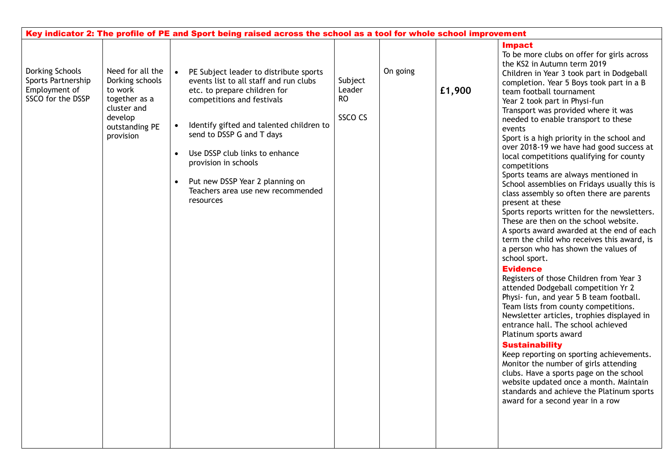| Key indicator 2: The profile of PE and Sport being raised across the school as a tool for whole school improvement |                                                                                                                          |                |                                                                                                                                                                                                                                                                                                                                                                        |                                           |          |        |                                                                                                                                                                                                                                                                                                                                                                                                                                                                                                                                                                                                                                                                                                                                                                                                                                                                                                                        |
|--------------------------------------------------------------------------------------------------------------------|--------------------------------------------------------------------------------------------------------------------------|----------------|------------------------------------------------------------------------------------------------------------------------------------------------------------------------------------------------------------------------------------------------------------------------------------------------------------------------------------------------------------------------|-------------------------------------------|----------|--------|------------------------------------------------------------------------------------------------------------------------------------------------------------------------------------------------------------------------------------------------------------------------------------------------------------------------------------------------------------------------------------------------------------------------------------------------------------------------------------------------------------------------------------------------------------------------------------------------------------------------------------------------------------------------------------------------------------------------------------------------------------------------------------------------------------------------------------------------------------------------------------------------------------------------|
| Dorking Schools<br>Sports Partnership<br>Employment of<br>SSCO for the DSSP                                        | Need for all the<br>Dorking schools<br>to work<br>together as a<br>cluster and<br>develop<br>outstanding PE<br>provision | $\bullet$<br>٠ | PE Subject leader to distribute sports<br>events list to all staff and run clubs<br>etc. to prepare children for<br>competitions and festivals<br>Identify gifted and talented children to<br>send to DSSP G and T days<br>Use DSSP club links to enhance<br>provision in schools<br>Put new DSSP Year 2 planning on<br>Teachers area use new recommended<br>resources | Subject<br>Leader<br><b>RO</b><br>SSCO CS | On going | £1,900 | <b>Impact</b><br>To be more clubs on offer for girls across<br>the KS2 in Autumn term 2019<br>Children in Year 3 took part in Dodgeball<br>completion. Year 5 Boys took part in a B<br>team football tournament<br>Year 2 took part in Physi-fun<br>Transport was provided where it was<br>needed to enable transport to these<br>events<br>Sport is a high priority in the school and<br>over 2018-19 we have had good success at<br>local competitions qualifying for county<br>competitions<br>Sports teams are always mentioned in<br>School assemblies on Fridays usually this is<br>class assembly so often there are parents<br>present at these<br>Sports reports written for the newsletters.<br>These are then on the school website.<br>A sports award awarded at the end of each<br>term the child who receives this award, is<br>a person who has shown the values of<br>school sport.<br><b>Evidence</b> |
|                                                                                                                    |                                                                                                                          |                |                                                                                                                                                                                                                                                                                                                                                                        |                                           |          |        | Registers of those Children from Year 3<br>attended Dodgeball competition Yr 2<br>Physi- fun, and year 5 B team football.<br>Team lists from county competitions.<br>Newsletter articles, trophies displayed in<br>entrance hall. The school achieved<br>Platinum sports award<br><b>Sustainability</b><br>Keep reporting on sporting achievements.<br>Monitor the number of girls attending<br>clubs. Have a sports page on the school<br>website updated once a month. Maintain<br>standards and achieve the Platinum sports<br>award for a second year in a row                                                                                                                                                                                                                                                                                                                                                     |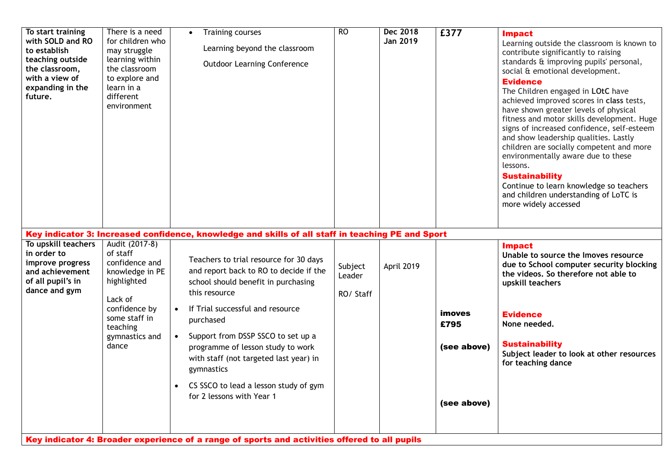| To start training<br>with SOLD and RO<br>to establish<br>teaching outside<br>the classroom,<br>with a view of<br>expanding in the<br>future. | There is a need<br>for children who<br>may struggle<br>learning within<br>the classroom<br>to explore and<br>learn in a<br>different<br>environment                | <b>Training courses</b><br>Learning beyond the classroom<br><b>Outdoor Learning Conference</b>                                                                                                                                                                                                                                                                                                                               | <b>RO</b>                      | Dec 2018<br>Jan 2019 | £377                                                | <b>Impact</b><br>Learning outside the classroom is known to<br>contribute significantly to raising<br>standards & improving pupils' personal,<br>social & emotional development.<br><b>Evidence</b><br>The Children engaged in LOtC have<br>achieved improved scores in class tests,<br>have shown greater levels of physical<br>fitness and motor skills development. Huge<br>signs of increased confidence, self-esteem<br>and show leadership qualities. Lastly<br>children are socially competent and more<br>environmentally aware due to these<br>lessons.<br><b>Sustainability</b><br>Continue to learn knowledge so teachers<br>and children understanding of LoTC is<br>more widely accessed |
|----------------------------------------------------------------------------------------------------------------------------------------------|--------------------------------------------------------------------------------------------------------------------------------------------------------------------|------------------------------------------------------------------------------------------------------------------------------------------------------------------------------------------------------------------------------------------------------------------------------------------------------------------------------------------------------------------------------------------------------------------------------|--------------------------------|----------------------|-----------------------------------------------------|-------------------------------------------------------------------------------------------------------------------------------------------------------------------------------------------------------------------------------------------------------------------------------------------------------------------------------------------------------------------------------------------------------------------------------------------------------------------------------------------------------------------------------------------------------------------------------------------------------------------------------------------------------------------------------------------------------|
|                                                                                                                                              |                                                                                                                                                                    | Key indicator 3: Increased confidence, knowledge and skills of all staff in teaching PE and Sport                                                                                                                                                                                                                                                                                                                            |                                |                      |                                                     |                                                                                                                                                                                                                                                                                                                                                                                                                                                                                                                                                                                                                                                                                                       |
| To upskill teachers<br>in order to<br>improve progress<br>and achievement<br>of all pupil's in<br>dance and gym                              | Audit (2017-8)<br>of staff<br>confidence and<br>knowledge in PE<br>highlighted<br>Lack of<br>confidence by<br>some staff in<br>teaching<br>gymnastics and<br>dance | Teachers to trial resource for 30 days<br>and report back to RO to decide if the<br>school should benefit in purchasing<br>this resource<br>If Trial successful and resource<br>$\bullet$<br>purchased<br>Support from DSSP SSCO to set up a<br>$\bullet$<br>programme of lesson study to work<br>with staff (not targeted last year) in<br>gymnastics<br>CS SSCO to lead a lesson study of gym<br>for 2 lessons with Year 1 | Subject<br>Leader<br>RO/ Staff | April 2019           | <b>imoves</b><br>£795<br>(see above)<br>(see above) | <b>Impact</b><br>Unable to source the Imoves resource<br>due to School computer security blocking<br>the videos. So therefore not able to<br>upskill teachers<br><b>Evidence</b><br>None needed.<br><b>Sustainability</b><br>Subject leader to look at other resources<br>for teaching dance                                                                                                                                                                                                                                                                                                                                                                                                          |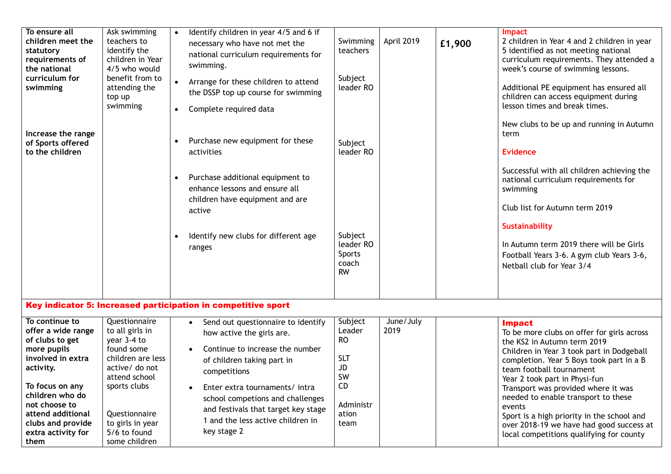| To ensure all<br>children meet the<br>statutory<br>requirements of<br>the national<br>curriculum for<br>swimming                                                                                                                        | Ask swimming<br>teachers to<br>identify the<br>children in Year<br>4/5 who would<br>benefit from to<br>attending the<br>top up<br>swimming                                                                  | Identify children in year 4/5 and 6 if<br>$\bullet$<br>necessary who have not met the<br>national curriculum requirements for<br>swimming.<br>$\bullet$<br>Arrange for these children to attend<br>the DSSP top up course for swimming<br>Complete required data                                                    | Swimming<br>teachers<br>Subject<br>leader RO                                                        | April 2019        | £1,900 | Impact<br>2 children in Year 4 and 2 children in year<br>5 identified as not meeting national<br>curriculum requirements. They attended a<br>week's course of swimming lessons.<br>Additional PE equipment has ensured all<br>children can access equipment during<br>lesson times and break times.<br>New clubs to be up and running in Autumn                                                                                                                                |
|-----------------------------------------------------------------------------------------------------------------------------------------------------------------------------------------------------------------------------------------|-------------------------------------------------------------------------------------------------------------------------------------------------------------------------------------------------------------|---------------------------------------------------------------------------------------------------------------------------------------------------------------------------------------------------------------------------------------------------------------------------------------------------------------------|-----------------------------------------------------------------------------------------------------|-------------------|--------|--------------------------------------------------------------------------------------------------------------------------------------------------------------------------------------------------------------------------------------------------------------------------------------------------------------------------------------------------------------------------------------------------------------------------------------------------------------------------------|
| Increase the range<br>of Sports offered<br>to the children                                                                                                                                                                              |                                                                                                                                                                                                             | Purchase new equipment for these<br>activities<br>Purchase additional equipment to<br>$\bullet$<br>enhance lessons and ensure all<br>children have equipment and are<br>active<br>Identify new clubs for different age<br>ranges                                                                                    | Subject<br>leader RO<br>Subject<br>leader RO<br>Sports<br>coach<br><b>RW</b>                        |                   |        | term<br>Evidence<br>Successful with all children achieving the<br>national curriculum requirements for<br>swimming<br>Club list for Autumn term 2019<br>Sustainability<br>In Autumn term 2019 there will be Girls<br>Football Years 3-6. A gym club Years 3-6,<br>Netball club for Year 3/4                                                                                                                                                                                    |
|                                                                                                                                                                                                                                         |                                                                                                                                                                                                             | Key indicator 5: Increased participation in competitive sport                                                                                                                                                                                                                                                       |                                                                                                     |                   |        |                                                                                                                                                                                                                                                                                                                                                                                                                                                                                |
| To continue to<br>offer a wide range<br>of clubs to get<br>more pupils<br>involved in extra<br>activity.<br>To focus on any<br>children who do<br>not choose to<br>attend additional<br>clubs and provide<br>extra activity for<br>them | Questionnaire<br>to all girls in<br>year 3-4 to<br>found some<br>children are less<br>active/ do not<br>attend school<br>sports clubs<br>Questionnaire<br>to girls in year<br>5/6 to found<br>some children | • Send out questionnaire to identify<br>how active the girls are.<br>Continue to increase the number<br>of children taking part in<br>competitions<br>Enter extra tournaments/ intra<br>school competions and challenges<br>and festivals that target key stage<br>1 and the less active children in<br>key stage 2 | Subject<br>Leader<br><b>RO</b><br><b>SLT</b><br>JD<br>SW<br><b>CD</b><br>Administr<br>ation<br>team | June/July<br>2019 |        | <b>Impact</b><br>To be more clubs on offer for girls across<br>the KS2 in Autumn term 2019<br>Children in Year 3 took part in Dodgeball<br>completion. Year 5 Boys took part in a B<br>team football tournament<br>Year 2 took part in Physi-fun<br>Transport was provided where it was<br>needed to enable transport to these<br>events<br>Sport is a high priority in the school and<br>over 2018-19 we have had good success at<br>local competitions qualifying for county |